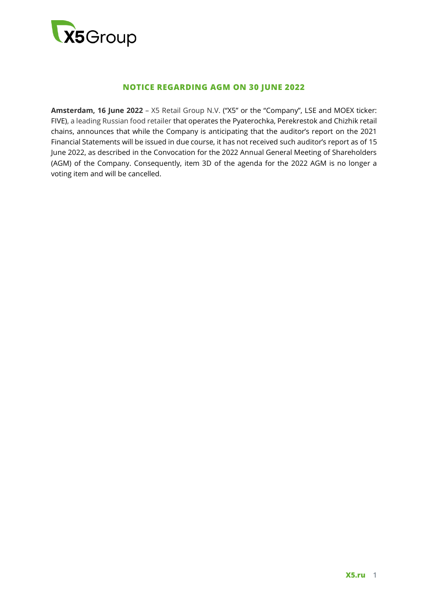

## **NOTICE REGARDING AGM ON 30 JUNE 2022**

**Amsterdam, 16 June 2022** – X5 Retail Group N.V. ("X5" or the "Company", LSE and MOEX ticker: FIVE), a leading Russian food retailer that operates the Pyaterochka, Perekrestok and Chizhik retail chains, announces that while the Company is anticipating that the auditor's report on the 2021 Financial Statements will be issued in due course, it has not received such auditor's report as of 15 June 2022, as described in the Convocation for the 2022 Annual General Meeting of Shareholders (AGM) of the Company. Consequently, item 3D of the agenda for the 2022 AGM is no longer a voting item and will be cancelled.